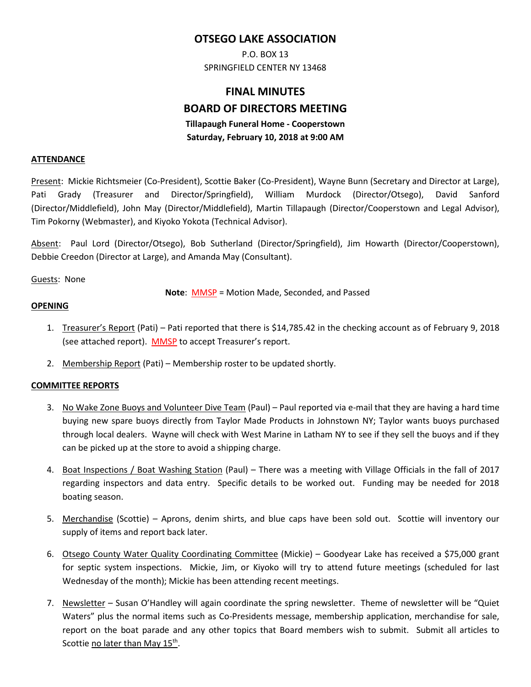## **OTSEGO LAKE ASSOCIATION**

P.O. BOX 13 SPRINGFIELD CENTER NY 13468

# **FINAL MINUTES BOARD OF DIRECTORS MEETING Tillapaugh Funeral Home - Cooperstown**

#### **Saturday, February 10, 2018 at 9:00 AM**

#### **ATTENDANCE**

Present: Mickie Richtsmeier (Co-President), Scottie Baker (Co-President), Wayne Bunn (Secretary and Director at Large), Pati Grady (Treasurer and Director/Springfield), William Murdock (Director/Otsego), David Sanford (Director/Middlefield), John May (Director/Middlefield), Martin Tillapaugh (Director/Cooperstown and Legal Advisor), Tim Pokorny (Webmaster), and Kiyoko Yokota (Technical Advisor).

Absent: Paul Lord (Director/Otsego), Bob Sutherland (Director/Springfield), Jim Howarth (Director/Cooperstown), Debbie Creedon (Director at Large), and Amanda May (Consultant).

Guests: None

**Note**: MMSP = Motion Made, Seconded, and Passed

#### **OPENING**

- 1. Treasurer's Report (Pati) Pati reported that there is \$14,785.42 in the checking account as of February 9, 2018 (see attached report). MMSP to accept Treasurer's report.
- 2. Membership Report (Pati) Membership roster to be updated shortly.

#### **COMMITTEE REPORTS**

- 3. No Wake Zone Buoys and Volunteer Dive Team (Paul) Paul reported via e-mail that they are having a hard time buying new spare buoys directly from Taylor Made Products in Johnstown NY; Taylor wants buoys purchased through local dealers. Wayne will check with West Marine in Latham NY to see if they sell the buoys and if they can be picked up at the store to avoid a shipping charge.
- 4. Boat Inspections / Boat Washing Station (Paul) There was a meeting with Village Officials in the fall of 2017 regarding inspectors and data entry. Specific details to be worked out. Funding may be needed for 2018 boating season.
- 5. Merchandise (Scottie) Aprons, denim shirts, and blue caps have been sold out. Scottie will inventory our supply of items and report back later.
- 6. Otsego County Water Quality Coordinating Committee (Mickie) Goodyear Lake has received a \$75,000 grant for septic system inspections. Mickie, Jim, or Kiyoko will try to attend future meetings (scheduled for last Wednesday of the month); Mickie has been attending recent meetings.
- 7. Newsletter Susan O'Handley will again coordinate the spring newsletter. Theme of newsletter will be "Quiet Waters" plus the normal items such as Co-Presidents message, membership application, merchandise for sale, report on the boat parade and any other topics that Board members wish to submit. Submit all articles to Scottie <u>no later than May 15th.</u>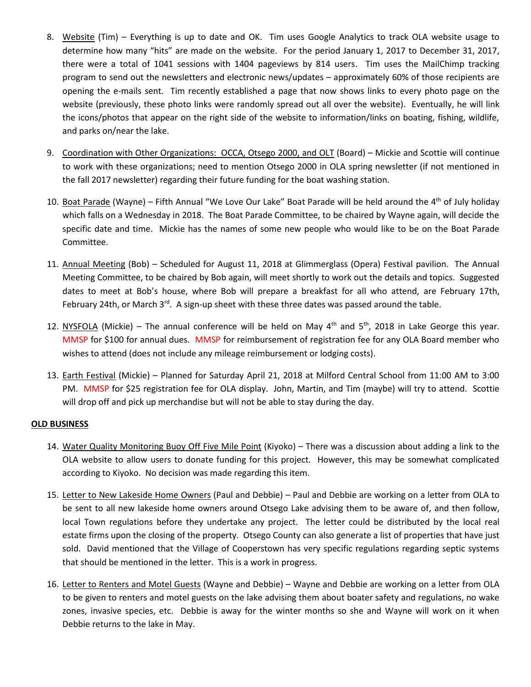- 8. Website (Tim) Everything is up to date and OK. Tim uses Google Analytics to track OLA website usage to determine how many "hits" are made on the website. For the period January 1, 2017 to December 31, 2017, there were a total of 1041 sessions with 1404 pageviews by 814 users. Tim uses the MailChimp tracking program to send out the newsletters and electronic news/updates – approximately 60% of those recipients are opening the e-mails sent. Tim recently established a page that now shows links to every photo page on the website (previously, these photo links were randomly spread out all over the website). Eventually, he will link the icons/photos that appear on the right side of the website to information/links on boating, fishing, wildlife, and parks on/near the lake.
- 9. Coordination with Other Organizations: OCCA, Otsego 2000, and OLT (Board) Mickie and Scottie will continue to work with these organizations; need to mention Otsego 2000 in OLA spring newsletter (if not mentioned in the fall 2017 newsletter) regarding their future funding for the boat washing station.
- 10. Boat Parade (Wayne) Fifth Annual "We Love Our Lake" Boat Parade will be held around the 4<sup>th</sup> of July holiday which falls on a Wednesday in 2018. The Boat Parade Committee, to be chaired by Wayne again, will decide the specific date and time. Mickie has the names of some new people who would like to be on the Boat Parade Committee.
- 11. Annual Meeting (Bob) Scheduled for August 11, 2018 at Glimmerglass (Opera) Festival pavilion. The Annual Meeting Committee, to be chaired by Bob again, will meet shortly to work out the details and topics. Suggested dates to meet at Bob's house, where Bob will prepare a breakfast for all who attend, are February 17th, February 24th, or March 3<sup>rd</sup>. A sign-up sheet with these three dates was passed around the table.
- 12. NYSFOLA (Mickie) The annual conference will be held on May  $4<sup>th</sup>$  and  $5<sup>th</sup>$ , 2018 in Lake George this year. MMSP for \$100 for annual dues. MMSP for reimbursement of registration fee for any OLA Board member who wishes to attend (does not include any mileage reimbursement or lodging costs).
- 13. Earth Festival (Mickie) Planned for Saturday April 21, 2018 at Milford Central School from 11:00 AM to 3:00 PM. MMSP for \$25 registration fee for OLA display. John, Martin, and Tim (maybe) will try to attend. Scottie will drop off and pick up merchandise but will not be able to stay during the day.

### **OLD BUSINESS**

- 14. Water Quality Monitoring Buoy Off Five Mile Point (Kiyoko) There was a discussion about adding a link to the OLA website to allow users to donate funding for this project. However, this may be somewhat complicated according to Kiyoko. No decision was made regarding this item.
- 15. Letter to New Lakeside Home Owners (Paul and Debbie) Paul and Debbie are working on a letter from OLA to be sent to all new lakeside home owners around Otsego Lake advising them to be aware of, and then follow, local Town regulations before they undertake any project. The letter could be distributed by the local real estate firms upon the closing of the property. Otsego County can also generate a list of properties that have just sold. David mentioned that the Village of Cooperstown has very specific regulations regarding septic systems that should be mentioned in the letter. This is a work in progress.
- 16. Letter to Renters and Motel Guests (Wayne and Debbie) Wayne and Debbie are working on a letter from OLA to be given to renters and motel guests on the lake advising them about boater safety and regulations, no wake zones, invasive species, etc. Debbie is away for the winter months so she and Wayne will work on it when Debbie returns to the lake in May.